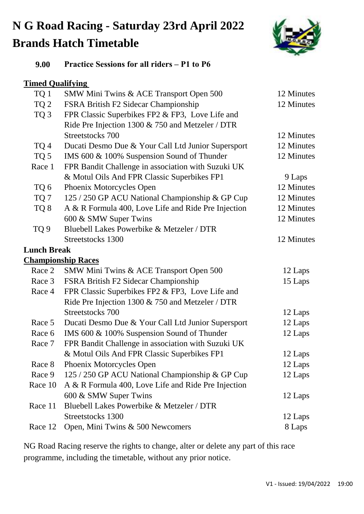# **N G Road Racing - Saturday 23rd April 2022 Brands Hatch Timetable**



| 9.00 | <b>Practice Sessions for all riders – P1 to P6</b> |  |  |  |
|------|----------------------------------------------------|--|--|--|
|      |                                                    |  |  |  |

### **Timed Qualifying**

| TQ 1               | SMW Mini Twins & ACE Transport Open 500             | 12 Minutes |
|--------------------|-----------------------------------------------------|------------|
| TQ <sub>2</sub>    | FSRA British F2 Sidecar Championship                | 12 Minutes |
| TQ <sub>3</sub>    | FPR Classic Superbikes FP2 & FP3, Love Life and     |            |
|                    | Ride Pre Injection 1300 & 750 and Metzeler / DTR    |            |
|                    | Streetstocks 700                                    | 12 Minutes |
| TQ <sub>4</sub>    | Ducati Desmo Due & Your Call Ltd Junior Supersport  | 12 Minutes |
| TQ 5               | IMS 600 & 100% Suspension Sound of Thunder          | 12 Minutes |
| Race 1             | FPR Bandit Challenge in association with Suzuki UK  |            |
|                    | & Motul Oils And FPR Classic Superbikes FP1         | 9 Laps     |
| TQ 6               | Phoenix Motorcycles Open                            | 12 Minutes |
| TQ 7               | 125 / 250 GP ACU National Championship & GP Cup     | 12 Minutes |
| TQ 8               | A & R Formula 400, Love Life and Ride Pre Injection | 12 Minutes |
|                    | 600 & SMW Super Twins                               | 12 Minutes |
| TQ <sub>9</sub>    | Bluebell Lakes Powerbike & Metzeler / DTR           |            |
|                    | Streetstocks 1300                                   | 12 Minutes |
| <b>Lunch Break</b> |                                                     |            |
|                    | <b>Championship Races</b>                           |            |
| Race 2             | SMW Mini Twins & ACE Transport Open 500             | 12 Laps    |
| Race 3             | FSRA British F2 Sidecar Championship                | 15 Laps    |
| Race 4             | FPR Classic Superbikes FP2 & FP3, Love Life and     |            |
|                    | Ride Pre Injection 1300 & 750 and Metzeler / DTR    |            |
|                    | Streetstocks 700                                    | 12 Laps    |
| Race 5             | Ducati Desmo Due & Your Call Ltd Junior Supersport  | 12 Laps    |
| Race 6             | IMS 600 & 100% Suspension Sound of Thunder          | 12 Laps    |
| Race 7             | FPR Bandit Challenge in association with Suzuki UK  |            |
|                    | & Motul Oils And FPR Classic Superbikes FP1         | 12 Laps    |
| Race 8             | Phoenix Motorcycles Open                            | 12 Laps    |
| Race 9             | 125 / 250 GP ACU National Championship & GP Cup     | 12 Laps    |
| Race 10            | A & R Formula 400, Love Life and Ride Pre Injection |            |
|                    | 600 & SMW Super Twins                               | 12 Laps    |
| Race 11            | Bluebell Lakes Powerbike & Metzeler / DTR           |            |
|                    | Streetstocks 1300                                   | 12 Laps    |
| Race 12            | Open, Mini Twins & 500 Newcomers                    | 8 Laps     |

NG Road Racing reserve the rights to change, alter or delete any part of this race programme, including the timetable, without any prior notice.